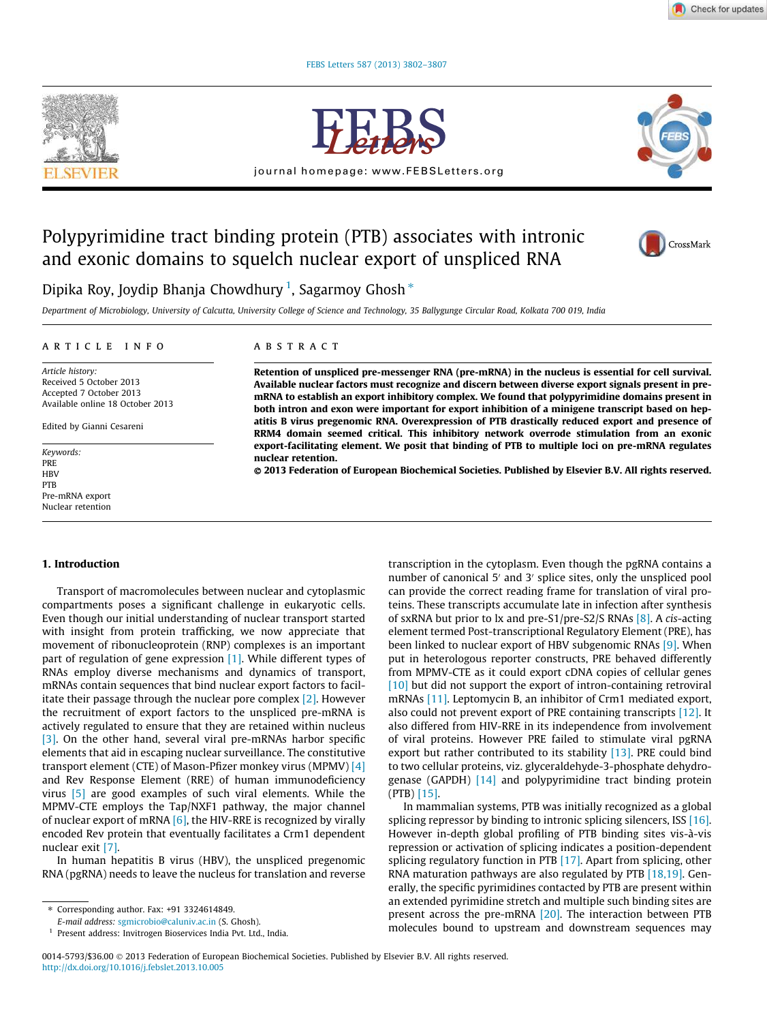**Check for updates** 

FEBS Letters 587 (2013) 3802–3807



journal homepage: www.FEBSLetters.org



# Polypyrimidine tract binding protein (PTB) associates with intronic and exonic domains to squelch nuclear export of unspliced RNA



Dipika Roy, Joydip Bhanja Chowdhury  $^1$ , Sagarmoy Ghosh  $^\ast$ 

*Department of Microbiology, University of Calcutta, University College of Science and Technology, 35 Ballygunge Circular Road, Kolkata 700 019, India*

#### article info

*Article history:* Received 5 October 2013 Accepted 7 October 2013 Available online 18 October 2013

Edited by Gianni Cesareni

*Keywords:* PRE **HBV** PTB Pre-mRNA export Nuclear retention

### ABSTRACT

Retention of unspliced pre-messenger RNA (pre-mRNA) in the nucleus is essential for cell survival. Available nuclear factors must recognize and discern between diverse export signals present in premRNA to establish an export inhibitory complex. We found that polypyrimidine domains present in both intron and exon were important for export inhibition of a minigene transcript based on hepatitis B virus pregenomic RNA. Overexpression of PTB drastically reduced export and presence of RRM4 domain seemed critical. This inhibitory network overrode stimulation from an exonic export-facilitating element. We posit that binding of PTB to multiple loci on pre-mRNA regulates nuclear retention.

- 2013 Federation of European Biochemical Societies. Published by Elsevier B.V. All rights reserved.

#### 1. Introduction

Transport of macromolecules between nuclear and cytoplasmic compartments poses a significant challenge in eukaryotic cells. Even though our initial understanding of nuclear transport started with insight from protein trafficking, we now appreciate that movement of ribonucleoprotein (RNP) complexes is an important part of regulation of gene expression [1]. While different types of RNAs employ diverse mechanisms and dynamics of transport, mRNAs contain sequences that bind nuclear export factors to facilitate their passage through the nuclear pore complex [2]. However the recruitment of export factors to the unspliced pre-mRNA is actively regulated to ensure that they are retained within nucleus [3]. On the other hand, several viral pre-mRNAs harbor specific elements that aid in escaping nuclear surveillance. The constitutive transport element (CTE) of Mason-Pfizer monkey virus (MPMV) [4] and Rev Response Element (RRE) of human immunodeficiency virus [5] are good examples of such viral elements. While the MPMV-CTE employs the Tap/NXF1 pathway, the major channel of nuclear export of mRNA  $[6]$ , the HIV-RRE is recognized by virally encoded Rev protein that eventually facilitates a Crm1 dependent nuclear exit [7].

In human hepatitis B virus (HBV), the unspliced pregenomic RNA (pgRNA) needs to leave the nucleus for translation and reverse transcription in the cytoplasm. Even though the pgRNA contains a number of canonical 5' and 3' splice sites, only the unspliced pool can provide the correct reading frame for translation of viral proteins. These transcripts accumulate late in infection after synthesis of sxRNA but prior to lx and pre-S1/pre-S2/S RNAs [8]. A *cis*-acting element termed Post-transcriptional Regulatory Element (PRE), has been linked to nuclear export of HBV subgenomic RNAs [9]. When put in heterologous reporter constructs, PRE behaved differently from MPMV-CTE as it could export cDNA copies of cellular genes [10] but did not support the export of intron-containing retroviral mRNAs [11]. Leptomycin B, an inhibitor of Crm1 mediated export, also could not prevent export of PRE containing transcripts [12]. It also differed from HIV-RRE in its independence from involvement of viral proteins. However PRE failed to stimulate viral pgRNA export but rather contributed to its stability  $[13]$ . PRE could bind to two cellular proteins, viz. glyceraldehyde-3-phosphate dehydrogenase (GAPDH) [14] and polypyrimidine tract binding protein (PTB) [15].

In mammalian systems, PTB was initially recognized as a global splicing repressor by binding to intronic splicing silencers, ISS [16]. However in-depth global profiling of PTB binding sites vis-à-vis repression or activation of splicing indicates a position-dependent splicing regulatory function in PTB [17]. Apart from splicing, other RNA maturation pathways are also regulated by PTB [18,19]. Generally, the specific pyrimidines contacted by PTB are present within an extended pyrimidine stretch and multiple such binding sites are present across the pre-mRNA [20]. The interaction between PTB molecules bound to upstream and downstream sequences may



<sup>⇑</sup> Corresponding author. Fax: +91 3324614849.

*E-mail address:* sgmicrobio@caluniv.ac.in (S. Ghosh).

<sup>&</sup>lt;sup>1</sup> Present address: Invitrogen Bioservices India Pvt. Ltd., India.

<sup>0014-5793/\$36.00 © 2013</sup> Federation of European Biochemical Societies. Published by Elsevier B.V. All rights reserved. http://dx.doi.org/10.1016/j.febslet.2013.10.005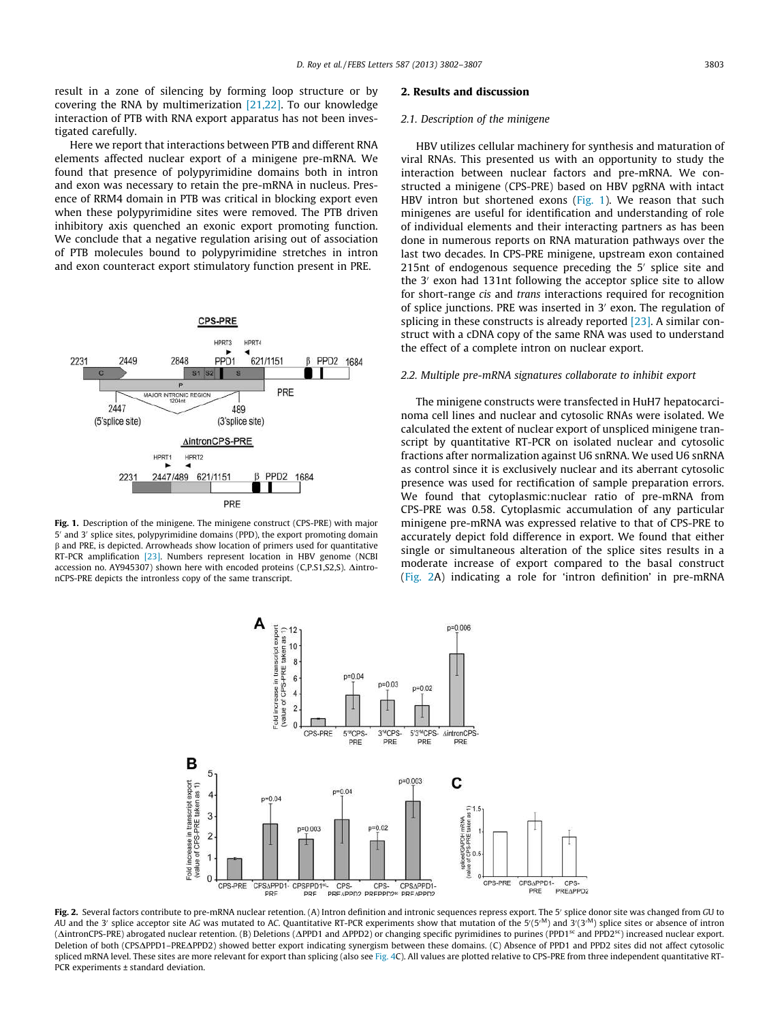result in a zone of silencing by forming loop structure or by covering the RNA by multimerization [21,22]. To our knowledge interaction of PTB with RNA export apparatus has not been investigated carefully.

Here we report that interactions between PTB and different RNA elements affected nuclear export of a minigene pre-mRNA. We found that presence of polypyrimidine domains both in intron and exon was necessary to retain the pre-mRNA in nucleus. Presence of RRM4 domain in PTB was critical in blocking export even when these polypyrimidine sites were removed. The PTB driven inhibitory axis quenched an exonic export promoting function. We conclude that a negative regulation arising out of association of PTB molecules bound to polypyrimidine stretches in intron and exon counteract export stimulatory function present in PRE.



Fig. 1. Description of the minigene. The minigene construct (CPS-PRE) with major 5' and 3' splice sites, polypyrimidine domains (PPD), the export promoting domain b and PRE, is depicted. Arrowheads show location of primers used for quantitative RT-PCR amplification [23]. Numbers represent location in HBV genome (NCBI accession no. AY945307) shown here with encoded proteins (C,P.S1,S2,S).  $\Delta$ intronCPS-PRE depicts the intronless copy of the same transcript.

# 2. Results and discussion

#### *2.1. Description of the minigene*

HBV utilizes cellular machinery for synthesis and maturation of viral RNAs. This presented us with an opportunity to study the interaction between nuclear factors and pre-mRNA. We constructed a minigene (CPS-PRE) based on HBV pgRNA with intact HBV intron but shortened exons (Fig. 1). We reason that such minigenes are useful for identification and understanding of role of individual elements and their interacting partners as has been done in numerous reports on RNA maturation pathways over the last two decades. In CPS-PRE minigene, upstream exon contained 215nt of endogenous sequence preceding the 5' splice site and the 3' exon had 131nt following the acceptor splice site to allow for short-range *cis* and *trans* interactions required for recognition of splice junctions. PRE was inserted in 3<sup>'</sup> exon. The regulation of splicing in these constructs is already reported [23]. A similar construct with a cDNA copy of the same RNA was used to understand the effect of a complete intron on nuclear export.

# *2.2. Multiple pre-mRNA signatures collaborate to inhibit export*

The minigene constructs were transfected in HuH7 hepatocarcinoma cell lines and nuclear and cytosolic RNAs were isolated. We calculated the extent of nuclear export of unspliced minigene transcript by quantitative RT-PCR on isolated nuclear and cytosolic fractions after normalization against U6 snRNA. We used U6 snRNA as control since it is exclusively nuclear and its aberrant cytosolic presence was used for rectification of sample preparation errors. We found that cytoplasmic:nuclear ratio of pre-mRNA from CPS-PRE was 0.58. Cytoplasmic accumulation of any particular minigene pre-mRNA was expressed relative to that of CPS-PRE to accurately depict fold difference in export. We found that either single or simultaneous alteration of the splice sites results in a moderate increase of export compared to the basal construct (Fig. 2A) indicating a role for 'intron definition' in pre-mRNA



Fig. 2. Several factors contribute to pre-mRNA nuclear retention. (A) Intron definition and intronic sequences repress export. The 5' splice donor site was changed from *GU* to AU and the 3' splice acceptor site A*G* was mutated to A*C*. Quantitative RT-PCR experiments show that mutation of the 5'(5<sup>M</sup>) and 3'(3<sup>,M</sup>) splice sites or absence of intron ( $\Delta$ intronCPS-PRE) abrogated nuclear retention. (B) Deletions ( $\Delta$ PPD1 and  $\Delta$ PPD2) or changing specific pyrimidines to purines (PPD1<sup>sc</sup> and PPD2<sup>sc</sup>) increased nuclear export. Deletion of both (CPSDPPD1–PREDPPD2) showed better export indicating synergism between these domains. (C) Absence of PPD1 and PPD2 sites did not affect cytosolic spliced mRNA level. These sites are more relevant for export than splicing (also see Fig. 4C). All values are plotted relative to CPS-PRE from three independent quantitative RT-PCR experiments ± standard deviation.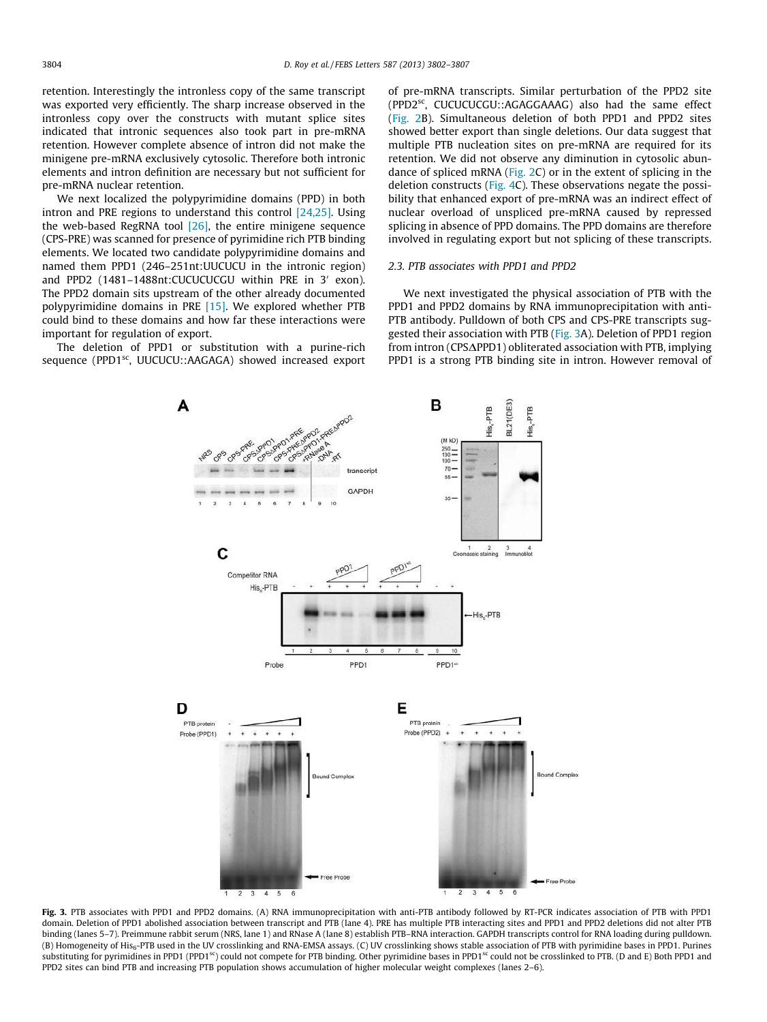retention. Interestingly the intronless copy of the same transcript was exported very efficiently. The sharp increase observed in the intronless copy over the constructs with mutant splice sites indicated that intronic sequences also took part in pre-mRNA retention. However complete absence of intron did not make the minigene pre-mRNA exclusively cytosolic. Therefore both intronic elements and intron definition are necessary but not sufficient for pre-mRNA nuclear retention.

We next localized the polypyrimidine domains (PPD) in both intron and PRE regions to understand this control [24,25]. Using the web-based RegRNA tool  $[26]$ , the entire minigene sequence (CPS-PRE) was scanned for presence of pyrimidine rich PTB binding elements. We located two candidate polypyrimidine domains and named them PPD1 (246–251nt:UUCUCU in the intronic region) and PPD2  $(1481-1488nt)$ :CUCUCUCGU within PRE in 3' exon). The PPD2 domain sits upstream of the other already documented polypyrimidine domains in PRE [15]. We explored whether PTB could bind to these domains and how far these interactions were important for regulation of export.

The deletion of PPD1 or substitution with a purine-rich sequence (PPD1<sup>sc</sup>, UUCUCU::AAGAGA) showed increased export

of pre-mRNA transcripts. Similar perturbation of the PPD2 site (PPD2sc, CUCUCUCGU::AGAGGAAAG) also had the same effect (Fig. 2B). Simultaneous deletion of both PPD1 and PPD2 sites showed better export than single deletions. Our data suggest that multiple PTB nucleation sites on pre-mRNA are required for its retention. We did not observe any diminution in cytosolic abundance of spliced mRNA (Fig. 2C) or in the extent of splicing in the deletion constructs (Fig. 4C). These observations negate the possibility that enhanced export of pre-mRNA was an indirect effect of nuclear overload of unspliced pre-mRNA caused by repressed splicing in absence of PPD domains. The PPD domains are therefore involved in regulating export but not splicing of these transcripts.

# *2.3. PTB associates with PPD1 and PPD2*

B

We next investigated the physical association of PTB with the PPD1 and PPD2 domains by RNA immunoprecipitation with anti-PTB antibody. Pulldown of both CPS and CPS-PRE transcripts suggested their association with PTB (Fig. 3A). Deletion of PPD1 region from intron (CPS $\Delta$ PPD1) obliterated association with PTB, implying PPD1 is a strong PTB binding site in intron. However removal of



Fig. 3. PTB associates with PPD1 and PPD2 domains. (A) RNA immunoprecipitation with anti-PTB antibody followed by RT-PCR indicates association of PTB with PPD1 domain. Deletion of PPD1 abolished association between transcript and PTB (lane 4). PRE has multiple PTB interacting sites and PPD1 and PPD2 deletions did not alter PTB binding (lanes 5–7). Preimmune rabbit serum (NRS, lane 1) and RNase A (lane 8) establish PTB–RNA interaction. GAPDH transcripts control for RNA loading during pulldown. (B) Homogeneity of His6-PTB used in the UV crosslinking and RNA-EMSA assays. (C) UV crosslinking shows stable association of PTB with pyrimidine bases in PPD1. Purines substituting for pyrimidines in PPD1 (PPD1<sup>sc</sup>) could not compete for PTB binding. Other pyrimidine bases in PPD1<sup>sc</sup> could not be crosslinked to PTB. (D and E) Both PPD1 and PPD2 sites can bind PTB and increasing PTB population shows accumulation of higher molecular weight complexes (lanes 2–6).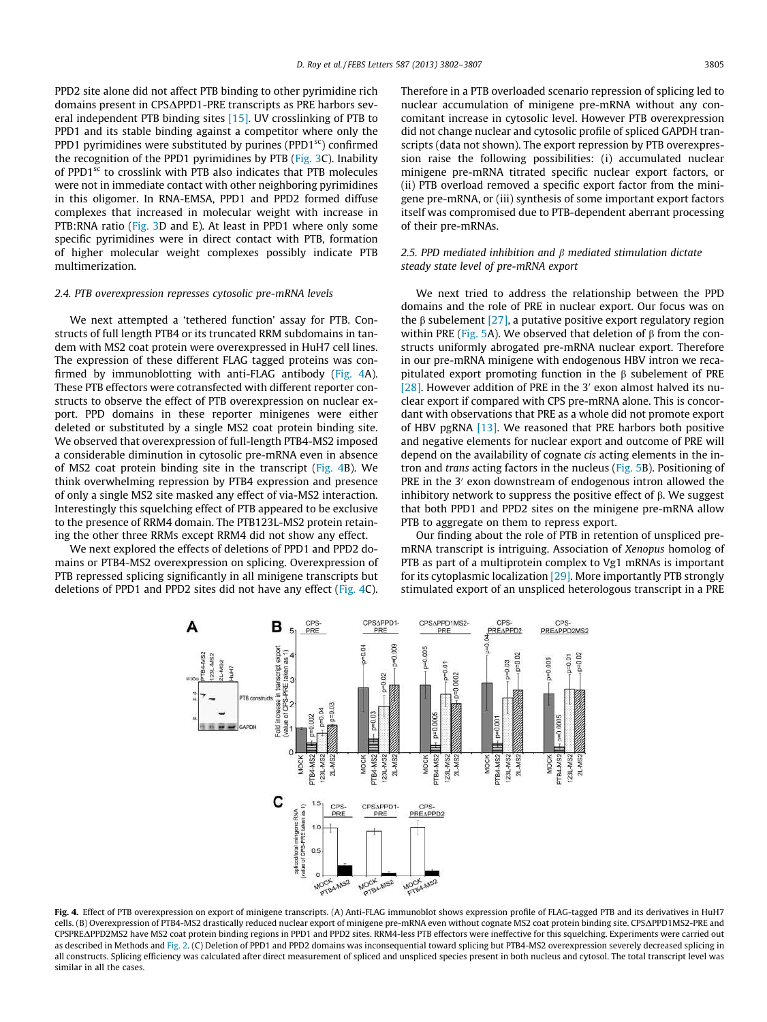PPD2 site alone did not affect PTB binding to other pyrimidine rich domains present in CPSΔPPD1-PRE transcripts as PRE harbors several independent PTB binding sites [15]. UV crosslinking of PTB to PPD1 and its stable binding against a competitor where only the PPD1 pyrimidines were substituted by purines (PPD1 $^{sc}$ ) confirmed the recognition of the PPD1 pyrimidines by PTB (Fig. 3C). Inability of PPD1<sup>sc</sup> to crosslink with PTB also indicates that PTB molecules were not in immediate contact with other neighboring pyrimidines in this oligomer. In RNA-EMSA, PPD1 and PPD2 formed diffuse complexes that increased in molecular weight with increase in PTB:RNA ratio (Fig. 3D and E). At least in PPD1 where only some specific pyrimidines were in direct contact with PTB, formation of higher molecular weight complexes possibly indicate PTB multimerization.

#### *2.4. PTB overexpression represses cytosolic pre-mRNA levels*

We next attempted a 'tethered function' assay for PTB. Constructs of full length PTB4 or its truncated RRM subdomains in tandem with MS2 coat protein were overexpressed in HuH7 cell lines. The expression of these different FLAG tagged proteins was confirmed by immunoblotting with anti-FLAG antibody (Fig. 4A). These PTB effectors were cotransfected with different reporter constructs to observe the effect of PTB overexpression on nuclear export. PPD domains in these reporter minigenes were either deleted or substituted by a single MS2 coat protein binding site. We observed that overexpression of full-length PTB4-MS2 imposed a considerable diminution in cytosolic pre-mRNA even in absence of MS2 coat protein binding site in the transcript (Fig. 4B). We think overwhelming repression by PTB4 expression and presence of only a single MS2 site masked any effect of via-MS2 interaction. Interestingly this squelching effect of PTB appeared to be exclusive to the presence of RRM4 domain. The PTB123L-MS2 protein retaining the other three RRMs except RRM4 did not show any effect.

We next explored the effects of deletions of PPD1 and PPD2 domains or PTB4-MS2 overexpression on splicing. Overexpression of PTB repressed splicing significantly in all minigene transcripts but deletions of PPD1 and PPD2 sites did not have any effect (Fig. 4C). Therefore in a PTB overloaded scenario repression of splicing led to nuclear accumulation of minigene pre-mRNA without any concomitant increase in cytosolic level. However PTB overexpression did not change nuclear and cytosolic profile of spliced GAPDH transcripts (data not shown). The export repression by PTB overexpression raise the following possibilities: (i) accumulated nuclear minigene pre-mRNA titrated specific nuclear export factors, or (ii) PTB overload removed a specific export factor from the minigene pre-mRNA, or (iii) synthesis of some important export factors itself was compromised due to PTB-dependent aberrant processing of their pre-mRNAs.

# *2.5. PPD mediated inhibition and* b *mediated stimulation dictate steady state level of pre-mRNA export*

We next tried to address the relationship between the PPD domains and the role of PRE in nuclear export. Our focus was on the  $\beta$  subelement [27], a putative positive export regulatory region within PRE (Fig. 5A). We observed that deletion of  $\beta$  from the constructs uniformly abrogated pre-mRNA nuclear export. Therefore in our pre-mRNA minigene with endogenous HBV intron we recapitulated export promoting function in the  $\beta$  subelement of PRE [ $28$ ]. However addition of PRE in the 3' exon almost halved its nuclear export if compared with CPS pre-mRNA alone. This is concordant with observations that PRE as a whole did not promote export of HBV pgRNA [13]. We reasoned that PRE harbors both positive and negative elements for nuclear export and outcome of PRE will depend on the availability of cognate *cis* acting elements in the intron and *trans* acting factors in the nucleus (Fig. 5B). Positioning of PRE in the 3<sup>'</sup> exon downstream of endogenous intron allowed the inhibitory network to suppress the positive effect of  $\beta$ . We suggest that both PPD1 and PPD2 sites on the minigene pre-mRNA allow PTB to aggregate on them to repress export.

Our finding about the role of PTB in retention of unspliced premRNA transcript is intriguing. Association of *Xenopus* homolog of PTB as part of a multiprotein complex to Vg1 mRNAs is important for its cytoplasmic localization [29]. More importantly PTB strongly stimulated export of an unspliced heterologous transcript in a PRE



Fig. 4. Effect of PTB overexpression on export of minigene transcripts. (A) Anti-FLAG immunoblot shows expression profile of FLAG-tagged PTB and its derivatives in HuH7 cells. (B) Overexpression of PTB4-MS2 drastically reduced nuclear export of minigene pre-mRNA even without cognate MS2 coat protein binding site. CPSDPPD1MS2-PRE and CPSPREDPPD2MS2 have MS2 coat protein binding regions in PPD1 and PPD2 sites. RRM4-less PTB effectors were ineffective for this squelching. Experiments were carried out as described in Methods and Fig. 2. (C) Deletion of PPD1 and PPD2 domains was inconsequential toward splicing but PTB4-MS2 overexpression severely decreased splicing in all constructs. Splicing efficiency was calculated after direct measurement of spliced and unspliced species present in both nucleus and cytosol. The total transcript level was similar in all the cases.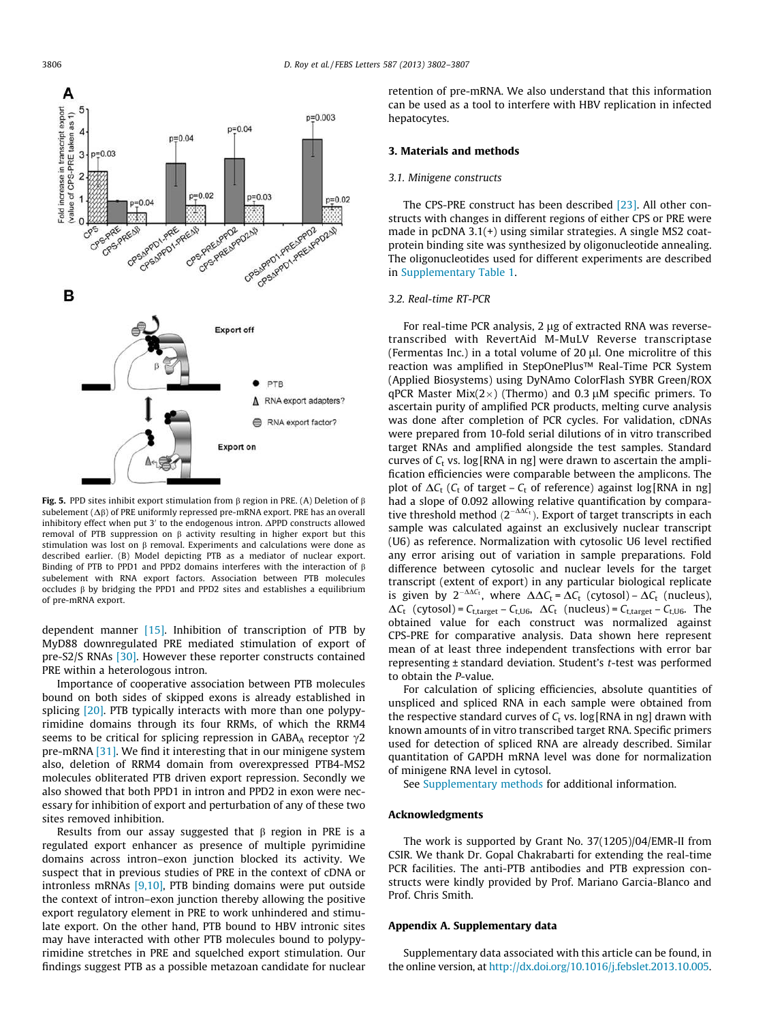

Fig. 5. PPD sites inhibit export stimulation from  $\beta$  region in PRE. (A) Deletion of  $\beta$ subelement  $( \Delta \beta)$  of PRE uniformly repressed pre-mRNA export. PRE has an overall inhibitory effect when put 3' to the endogenous intron.  $\Delta$ PPD constructs allowed removal of PTB suppression on  $\beta$  activity resulting in higher export but this stimulation was lost on  $\beta$  removal. Experiments and calculations were done as described earlier. (B) Model depicting PTB as a mediator of nuclear export. Binding of PTB to PPD1 and PPD2 domains interferes with the interaction of  $\beta$ subelement with RNA export factors. Association between PTB molecules occludes  $\beta$  by bridging the PPD1 and PPD2 sites and establishes a equilibrium of pre-mRNA export.

dependent manner [15]. Inhibition of transcription of PTB by MyD88 downregulated PRE mediated stimulation of export of pre-S2/S RNAs [30]. However these reporter constructs contained PRE within a heterologous intron.

Importance of cooperative association between PTB molecules bound on both sides of skipped exons is already established in splicing [20]. PTB typically interacts with more than one polypyrimidine domains through its four RRMs, of which the RRM4 seems to be critical for splicing repression in GABA<sub>A</sub> receptor  $\gamma$ 2 pre-mRNA [31]. We find it interesting that in our minigene system also, deletion of RRM4 domain from overexpressed PTB4-MS2 molecules obliterated PTB driven export repression. Secondly we also showed that both PPD1 in intron and PPD2 in exon were necessary for inhibition of export and perturbation of any of these two sites removed inhibition.

Results from our assay suggested that  $\beta$  region in PRE is a regulated export enhancer as presence of multiple pyrimidine domains across intron–exon junction blocked its activity. We suspect that in previous studies of PRE in the context of cDNA or intronless mRNAs [9,10], PTB binding domains were put outside the context of intron–exon junction thereby allowing the positive export regulatory element in PRE to work unhindered and stimulate export. On the other hand, PTB bound to HBV intronic sites may have interacted with other PTB molecules bound to polypyrimidine stretches in PRE and squelched export stimulation. Our findings suggest PTB as a possible metazoan candidate for nuclear retention of pre-mRNA. We also understand that this information can be used as a tool to interfere with HBV replication in infected hepatocytes.

# 3. Materials and methods

#### *3.1. Minigene constructs*

The CPS-PRE construct has been described [23]. All other constructs with changes in different regions of either CPS or PRE were made in pcDNA 3.1(+) using similar strategies. A single MS2 coatprotein binding site was synthesized by oligonucleotide annealing. The oligonucleotides used for different experiments are described in Supplementary Table 1.

#### *3.2. Real-time RT-PCR*

For real-time PCR analysis,  $2 \mu g$  of extracted RNA was reversetranscribed with RevertAid M-MuLV Reverse transcriptase (Fermentas Inc.) in a total volume of 20  $\mu$ l. One microlitre of this reaction was amplified in StepOnePlus™ Real-Time PCR System (Applied Biosystems) using DyNAmo ColorFlash SYBR Green/ROX qPCR Master Mix $(2\times)$  (Thermo) and 0.3 µM specific primers. To ascertain purity of amplified PCR products, melting curve analysis was done after completion of PCR cycles. For validation, cDNAs were prepared from 10-fold serial dilutions of in vitro transcribed target RNAs and amplified alongside the test samples. Standard curves of  $C_t$  vs. log [RNA in ng] were drawn to ascertain the amplification efficiencies were comparable between the amplicons. The plot of  $\Delta C_t$  ( $C_t$  of target –  $C_t$  of reference) against log[RNA in ng] had a slope of 0.092 allowing relative quantification by comparative threshold method  $(2^{-\Delta\Delta C_t})$ . Export of target transcripts in each sample was calculated against an exclusively nuclear transcript (U6) as reference. Normalization with cytosolic U6 level rectified any error arising out of variation in sample preparations. Fold difference between cytosolic and nuclear levels for the target transcript (extent of export) in any particular biological replicate is given by  $2^{-\Delta\Delta C_t}$ , where  $\Delta\Delta C_t = \Delta C_t$  (cytosol) –  $\Delta C_t$  (nucleus),  $\Delta C_t$  (cytosol) =  $C_{t, \text{target}} - C_{t, \text{U6}}$ ,  $\Delta C_t$  (nucleus) =  $C_{t, \text{target}} - C_{t, \text{U6}}$ . The obtained value for each construct was normalized against CPS-PRE for comparative analysis. Data shown here represent mean of at least three independent transfections with error bar representing ± standard deviation. Student's *t*-test was performed to obtain the *P*-value.

For calculation of splicing efficiencies, absolute quantities of unspliced and spliced RNA in each sample were obtained from the respective standard curves of  $C_t$  vs. log[RNA in ng] drawn with known amounts of in vitro transcribed target RNA. Specific primers used for detection of spliced RNA are already described. Similar quantitation of GAPDH mRNA level was done for normalization of minigene RNA level in cytosol.

See Supplementary methods for additional information.

#### Acknowledgments

The work is supported by Grant No. 37(1205)/04/EMR-II from CSIR. We thank Dr. Gopal Chakrabarti for extending the real-time PCR facilities. The anti-PTB antibodies and PTB expression constructs were kindly provided by Prof. Mariano Garcia-Blanco and Prof. Chris Smith.

#### Appendix A. Supplementary data

Supplementary data associated with this article can be found, in the online version, at http://dx.doi.org/10.1016/j.febslet.2013.10.005.